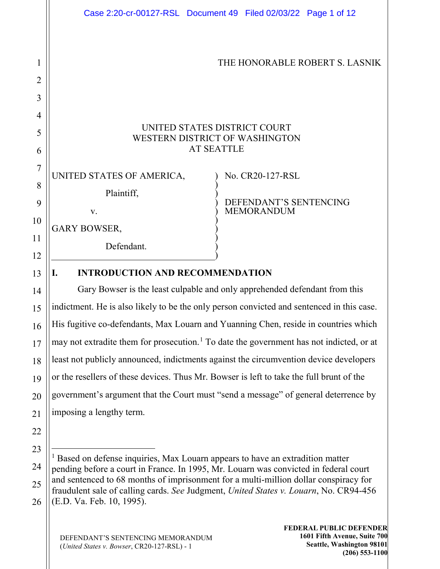|                | Case 2:20-cr-00127-RSL Document 49 Filed 02/03/22 Page 1 of 12                                                                                                                |
|----------------|-------------------------------------------------------------------------------------------------------------------------------------------------------------------------------|
|                |                                                                                                                                                                               |
| 1              | THE HONORABLE ROBERT S. LASNIK                                                                                                                                                |
| $\overline{2}$ |                                                                                                                                                                               |
| 3              |                                                                                                                                                                               |
| 4              |                                                                                                                                                                               |
| 5              | UNITED STATES DISTRICT COURT<br>WESTERN DISTRICT OF WASHINGTON                                                                                                                |
| 6              | <b>AT SEATTLE</b>                                                                                                                                                             |
| 7              | UNITED STATES OF AMERICA,<br>No. CR20-127-RSL                                                                                                                                 |
| 8              | Plaintiff,                                                                                                                                                                    |
| 9              | DEFENDANT'S SENTENCING<br><b>MEMORANDUM</b><br>V.                                                                                                                             |
| 10             | <b>GARY BOWSER,</b>                                                                                                                                                           |
| 11             | Defendant.                                                                                                                                                                    |
| 12             |                                                                                                                                                                               |
| 13             | <b>INTRODUCTION AND RECOMMENDATION</b><br>I.                                                                                                                                  |
| 14             | Gary Bowser is the least culpable and only apprehended defendant from this                                                                                                    |
| 15             | indictment. He is also likely to be the only person convicted and sentenced in this case.                                                                                     |
| 16             | His fugitive co-defendants, Max Louarn and Yuanning Chen, reside in countries which                                                                                           |
| 17             | may not extradite them for prosecution. <sup>1</sup> To date the government has not indicted, or at                                                                           |
| 18             | least not publicly announced, indictments against the circumvention device developers                                                                                         |
| 19             | or the resellers of these devices. Thus Mr. Bowser is left to take the full brunt of the                                                                                      |
| 20             | government's argument that the Court must "send a message" of general deterrence by                                                                                           |
| 21             | imposing a lengthy term.                                                                                                                                                      |
| 22             |                                                                                                                                                                               |
| 23             | <sup>1</sup> Based on defense inquiries, Max Louarn appears to have an extradition matter                                                                                     |
| 24             | pending before a court in France. In 1995, Mr. Louarn was convicted in federal court                                                                                          |
| 25             | and sentenced to 68 months of imprisonment for a multi-million dollar conspiracy for<br>fraudulent sale of calling cards. See Judgment, United States v. Louarn, No. CR94-456 |

DEFENDANT'S SENTENCING MEMORANDUM (*United States v. Bowser*, CR20-127-RSL) - 1

<span id="page-0-0"></span>(E.D. Va. Feb. 10, 1995).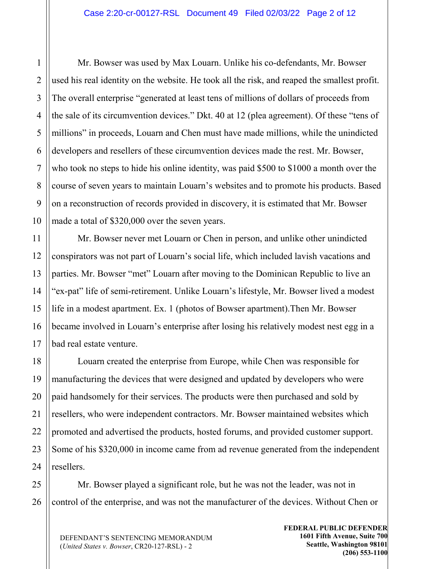Mr. Bowser was used by Max Louarn. Unlike his co-defendants, Mr. Bowser used his real identity on the website. He took all the risk, and reaped the smallest profit. The overall enterprise "generated at least tens of millions of dollars of proceeds from the sale of its circumvention devices." Dkt. 40 at 12 (plea agreement). Of these "tens of millions" in proceeds, Louarn and Chen must have made millions, while the unindicted developers and resellers of these circumvention devices made the rest. Mr. Bowser, who took no steps to hide his online identity, was paid \$500 to \$1000 a month over the course of seven years to maintain Louarn's websites and to promote his products. Based on a reconstruction of records provided in discovery, it is estimated that Mr. Bowser made a total of \$320,000 over the seven years.

Mr. Bowser never met Louarn or Chen in person, and unlike other unindicted conspirators was not part of Louarn's social life, which included lavish vacations and parties. Mr. Bowser "met" Louarn after moving to the Dominican Republic to live an "ex-pat" life of semi-retirement. Unlike Louarn's lifestyle, Mr. Bowser lived a modest life in a modest apartment. Ex. 1 (photos of Bowser apartment).Then Mr. Bowser became involved in Louarn's enterprise after losing his relatively modest nest egg in a bad real estate venture.

Louarn created the enterprise from Europe, while Chen was responsible for manufacturing the devices that were designed and updated by developers who were paid handsomely for their services. The products were then purchased and sold by resellers, who were independent contractors. Mr. Bowser maintained websites which promoted and advertised the products, hosted forums, and provided customer support. Some of his \$320,000 in income came from ad revenue generated from the independent resellers.

Mr. Bowser played a significant role, but he was not the leader, was not in control of the enterprise, and was not the manufacturer of the devices. Without Chen or

DEFENDANT'S SENTENCING MEMORANDUM (*United States v. Bowser*, CR20-127-RSL) - 2

**FEDERAL PUBLIC DEFENDER 1601 Fifth Avenue, Suite 700 Seattle, Washington 98101 (206) 553-1100**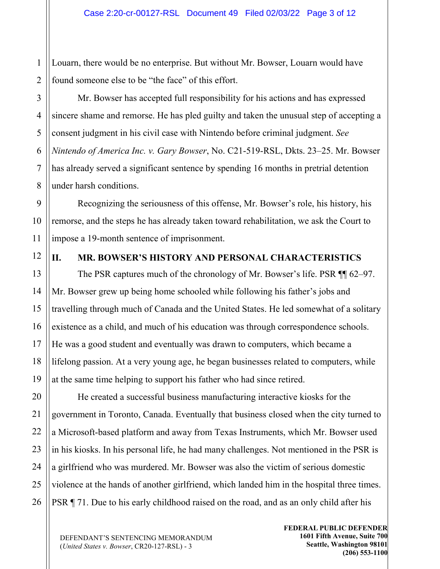Louarn, there would be no enterprise. But without Mr. Bowser, Louarn would have found someone else to be "the face" of this effort.

Mr. Bowser has accepted full responsibility for his actions and has expressed sincere shame and remorse. He has pled guilty and taken the unusual step of accepting a consent judgment in his civil case with Nintendo before criminal judgment. *See Nintendo of America Inc. v. Gary Bowser*, No. C21-519-RSL, Dkts. 23–25. Mr. Bowser has already served a significant sentence by spending 16 months in pretrial detention under harsh conditions.

Recognizing the seriousness of this offense, Mr. Bowser's role, his history, his remorse, and the steps he has already taken toward rehabilitation, we ask the Court to impose a 19-month sentence of imprisonment.

## **II. MR. BOWSER'S HISTORY AND PERSONAL CHARACTERISTICS**

The PSR captures much of the chronology of Mr. Bowser's life. PSR  $\P$  62–97. Mr. Bowser grew up being home schooled while following his father's jobs and travelling through much of Canada and the United States. He led somewhat of a solitary existence as a child, and much of his education was through correspondence schools. He was a good student and eventually was drawn to computers, which became a lifelong passion. At a very young age, he began businesses related to computers, while at the same time helping to support his father who had since retired.

He created a successful business manufacturing interactive kiosks for the government in Toronto, Canada. Eventually that business closed when the city turned to a Microsoft-based platform and away from Texas Instruments, which Mr. Bowser used in his kiosks. In his personal life, he had many challenges. Not mentioned in the PSR is a girlfriend who was murdered. Mr. Bowser was also the victim of serious domestic violence at the hands of another girlfriend, which landed him in the hospital three times. PSR ¶ 71. Due to his early childhood raised on the road, and as an only child after his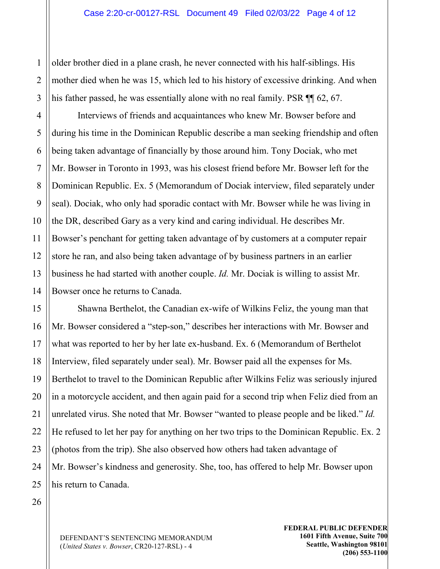older brother died in a plane crash, he never connected with his half-siblings. His mother died when he was 15, which led to his history of excessive drinking. And when his father passed, he was essentially alone with no real family. PSR  $\P$  62, 67.

Interviews of friends and acquaintances who knew Mr. Bowser before and during his time in the Dominican Republic describe a man seeking friendship and often being taken advantage of financially by those around him. Tony Dociak, who met Mr. Bowser in Toronto in 1993, was his closest friend before Mr. Bowser left for the Dominican Republic. Ex. 5 (Memorandum of Dociak interview, filed separately under seal). Dociak, who only had sporadic contact with Mr. Bowser while he was living in the DR, described Gary as a very kind and caring individual. He describes Mr. Bowser's penchant for getting taken advantage of by customers at a computer repair store he ran, and also being taken advantage of by business partners in an earlier business he had started with another couple. *Id.* Mr. Dociak is willing to assist Mr. Bowser once he returns to Canada.

Shawna Berthelot, the Canadian ex-wife of Wilkins Feliz, the young man that Mr. Bowser considered a "step-son," describes her interactions with Mr. Bowser and what was reported to her by her late ex-husband. Ex. 6 (Memorandum of Berthelot Interview, filed separately under seal). Mr. Bowser paid all the expenses for Ms. Berthelot to travel to the Dominican Republic after Wilkins Feliz was seriously injured in a motorcycle accident, and then again paid for a second trip when Feliz died from an unrelated virus. She noted that Mr. Bowser "wanted to please people and be liked." *Id.* He refused to let her pay for anything on her two trips to the Dominican Republic. Ex. 2 (photos from the trip). She also observed how others had taken advantage of Mr. Bowser's kindness and generosity. She, too, has offered to help Mr. Bowser upon his return to Canada.

26

1

2

3

4

5

6

7

8

9

10

11

12

13

14

15

16

17

18

19

20

21

22

23

24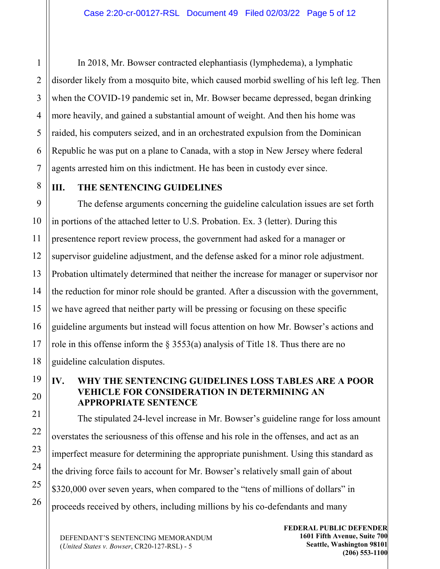In 2018, Mr. Bowser contracted elephantiasis (lymphedema), a lymphatic disorder likely from a mosquito bite, which caused morbid swelling of his left leg. Then when the COVID-19 pandemic set in, Mr. Bowser became depressed, began drinking more heavily, and gained a substantial amount of weight. And then his home was raided, his computers seized, and in an orchestrated expulsion from the Dominican Republic he was put on a plane to Canada, with a stop in New Jersey where federal agents arrested him on this indictment. He has been in custody ever since.

#### **III. THE SENTENCING GUIDELINES**

The defense arguments concerning the guideline calculation issues are set forth in portions of the attached letter to U.S. Probation. Ex. 3 (letter). During this presentence report review process, the government had asked for a manager or supervisor guideline adjustment, and the defense asked for a minor role adjustment. Probation ultimately determined that neither the increase for manager or supervisor nor the reduction for minor role should be granted. After a discussion with the government, we have agreed that neither party will be pressing or focusing on these specific guideline arguments but instead will focus attention on how Mr. Bowser's actions and role in this offense inform the  $\S 3553(a)$  analysis of Title 18. Thus there are no guideline calculation disputes.

## **IV. WHY THE SENTENCING GUIDELINES LOSS TABLES ARE A POOR VEHICLE FOR CONSIDERATION IN DETERMINING AN APPROPRIATE SENTENCE**

The stipulated 24-level increase in Mr. Bowser's guideline range for loss amount overstates the seriousness of this offense and his role in the offenses, and act as an imperfect measure for determining the appropriate punishment. Using this standard as the driving force fails to account for Mr. Bowser's relatively small gain of about \$320,000 over seven years, when compared to the "tens of millions of dollars" in proceeds received by others, including millions by his co-defendants and many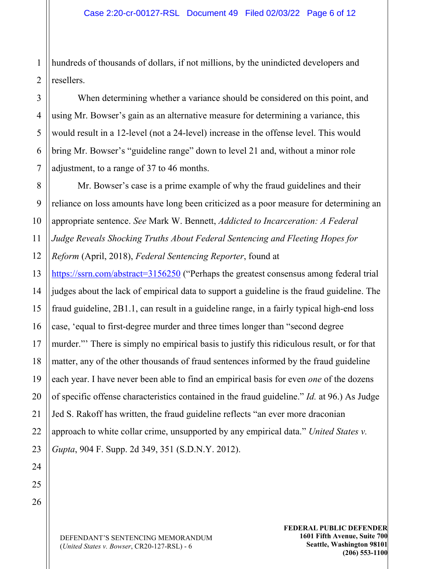1 2 hundreds of thousands of dollars, if not millions, by the unindicted developers and resellers.

When determining whether a variance should be considered on this point, and using Mr. Bowser's gain as an alternative measure for determining a variance, this would result in a 12-level (not a 24-level) increase in the offense level. This would bring Mr. Bowser's "guideline range" down to level 21 and, without a minor role adjustment, to a range of 37 to 46 months.

8 10 Mr. Bowser's case is a prime example of why the fraud guidelines and their reliance on loss amounts have long been criticized as a poor measure for determining an appropriate sentence. *See* Mark W. Bennett, *Addicted to Incarceration: A Federal Judge Reveals Shocking Truths About Federal Sentencing and Fleeting Hopes for Reform* (April, 2018), *Federal Sentencing Reporter*, found at

13 14 15 16 17 18 19 <https://ssrn.com/abstract=3156250> ("Perhaps the greatest consensus among federal trial judges about the lack of empirical data to support a guideline is the fraud guideline. The fraud guideline, 2B1.1, can result in a guideline range, in a fairly typical high-end loss case, 'equal to first-degree murder and three times longer than "second degree murder."' There is simply no empirical basis to justify this ridiculous result, or for that matter, any of the other thousands of fraud sentences informed by the fraud guideline each year. I have never been able to find an empirical basis for even *one* of the dozens of specific offense characteristics contained in the fraud guideline." *Id.* at 96.) As Judge Jed S. Rakoff has written, the fraud guideline reflects "an ever more draconian approach to white collar crime, unsupported by any empirical data." *United States v. Gupta*, 904 F. Supp. 2d 349, 351 (S.D.N.Y. 2012).

3

4

5

6

7

9

11

12

DEFENDANT'S SENTENCING MEMORANDUM (*United States v. Bowser*, CR20-127-RSL) - 6

**FEDERAL PUBLIC DEFENDER 1601 Fifth Avenue, Suite 700 Seattle, Washington 98101 (206) 553-1100**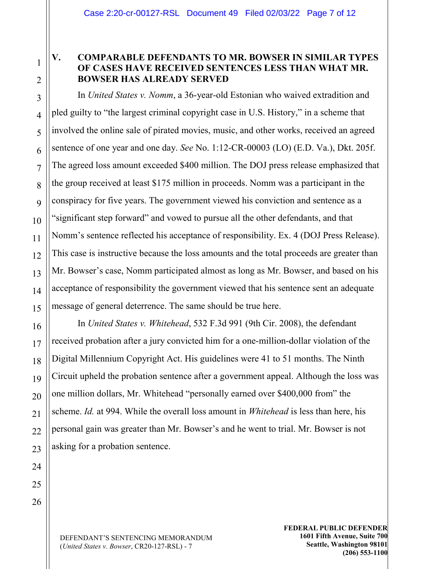# **V. COMPARABLE DEFENDANTS TO MR. BOWSER IN SIMILAR TYPES OF CASES HAVE RECEIVED SENTENCES LESS THAN WHAT MR. BOWSER HAS ALREADY SERVED**

In *United States v. Nomm*, a 36-year-old Estonian who waived extradition and pled guilty to "the largest criminal copyright case in U.S. History," in a scheme that involved the online sale of pirated movies, music, and other works, received an agreed sentence of one year and one day. *See* No. 1:12-CR-00003 (LO) (E.D. Va.), Dkt. 205f. The agreed loss amount exceeded \$400 million. The DOJ press release emphasized that the group received at least \$175 million in proceeds. Nomm was a participant in the conspiracy for five years. The government viewed his conviction and sentence as a "significant step forward" and vowed to pursue all the other defendants, and that Nomm's sentence reflected his acceptance of responsibility. Ex. 4 (DOJ Press Release). This case is instructive because the loss amounts and the total proceeds are greater than Mr. Bowser's case, Nomm participated almost as long as Mr. Bowser, and based on his acceptance of responsibility the government viewed that his sentence sent an adequate message of general deterrence. The same should be true here.

In *United States v. Whitehead*, 532 F.3d 991 (9th Cir. 2008), the defendant received probation after a jury convicted him for a one-million-dollar violation of the Digital Millennium Copyright Act. His guidelines were 41 to 51 months. The Ninth Circuit upheld the probation sentence after a government appeal. Although the loss was one million dollars, Mr. Whitehead "personally earned over \$400,000 from" the scheme. *Id.* at 994. While the overall loss amount in *Whitehead* is less than here, his personal gain was greater than Mr. Bowser's and he went to trial. Mr. Bowser is not asking for a probation sentence.

1

2

3

4

5

6

7

8

9

10

11

12

DEFENDANT'S SENTENCING MEMORANDUM (*United States v. Bowser*, CR20-127-RSL) - 7

**FEDERAL PUBLIC DEFENDER 1601 Fifth Avenue, Suite 700 Seattle, Washington 98101 (206) 553-1100**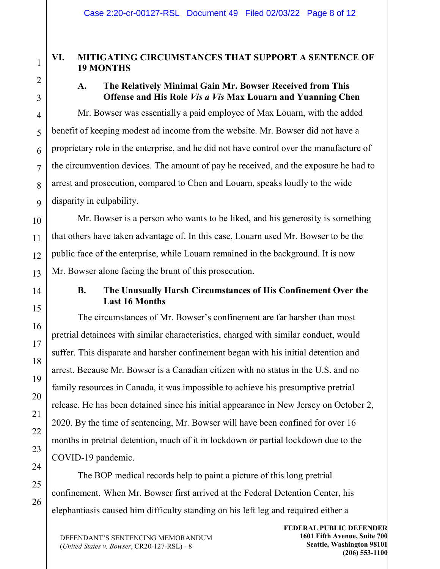## **VI. MITIGATING CIRCUMSTANCES THAT SUPPORT A SENTENCE OF 19 MONTHS**

# **A. The Relatively Minimal Gain Mr. Bowser Received from This Offense and His Role** *Vis a Vis* **Max Louarn and Yuanning Chen**

Mr. Bowser was essentially a paid employee of Max Louarn, with the added benefit of keeping modest ad income from the website. Mr. Bowser did not have a proprietary role in the enterprise, and he did not have control over the manufacture of the circumvention devices. The amount of pay he received, and the exposure he had to arrest and prosecution, compared to Chen and Louarn, speaks loudly to the wide disparity in culpability.

Mr. Bowser is a person who wants to be liked, and his generosity is something that others have taken advantage of. In this case, Louarn used Mr. Bowser to be the public face of the enterprise, while Louarn remained in the background. It is now Mr. Bowser alone facing the brunt of this prosecution.

# **B. The Unusually Harsh Circumstances of His Confinement Over the Last 16 Months**

The circumstances of Mr. Bowser's confinement are far harsher than most pretrial detainees with similar characteristics, charged with similar conduct, would suffer. This disparate and harsher confinement began with his initial detention and arrest. Because Mr. Bowser is a Canadian citizen with no status in the U.S. and no family resources in Canada, it was impossible to achieve his presumptive pretrial release. He has been detained since his initial appearance in New Jersey on October 2, 2020. By the time of sentencing, Mr. Bowser will have been confined for over 16 months in pretrial detention, much of it in lockdown or partial lockdown due to the COVID-19 pandemic.

The BOP medical records help to paint a picture of this long pretrial confinement. When Mr. Bowser first arrived at the Federal Detention Center, his elephantiasis caused him difficulty standing on his left leg and required either a

DEFENDANT'S SENTENCING MEMORANDUM (*United States v. Bowser*, CR20-127-RSL) - 8

**FEDERAL PUBLIC DEFENDER 1601 Fifth Avenue, Suite 700 Seattle, Washington 98101 (206) 553-1100**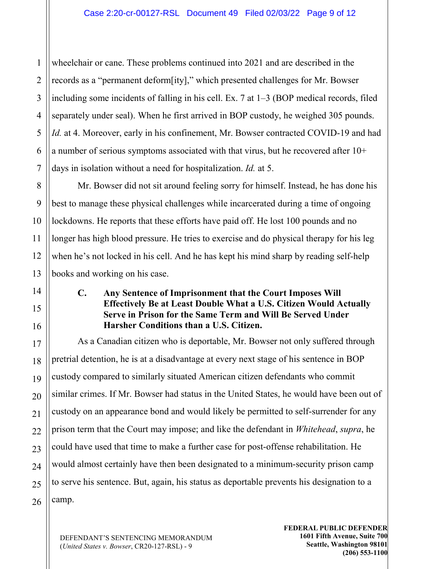wheelchair or cane. These problems continued into 2021 and are described in the records as a "permanent deform[ity]," which presented challenges for Mr. Bowser including some incidents of falling in his cell. Ex. 7 at 1–3 (BOP medical records, filed separately under seal). When he first arrived in BOP custody, he weighed 305 pounds. *Id.* at 4. Moreover, early in his confinement, Mr. Bowser contracted COVID-19 and had a number of serious symptoms associated with that virus, but he recovered after 10+ days in isolation without a need for hospitalization. *Id.* at 5.

Mr. Bowser did not sit around feeling sorry for himself. Instead, he has done his best to manage these physical challenges while incarcerated during a time of ongoing lockdowns. He reports that these efforts have paid off. He lost 100 pounds and no longer has high blood pressure. He tries to exercise and do physical therapy for his leg when he's not locked in his cell. And he has kept his mind sharp by reading self-help books and working on his case.

## **C. Any Sentence of Imprisonment that the Court Imposes Will Effectively Be at Least Double What a U.S. Citizen Would Actually Serve in Prison for the Same Term and Will Be Served Under Harsher Conditions than a U.S. Citizen.**

As a Canadian citizen who is deportable, Mr. Bowser not only suffered through pretrial detention, he is at a disadvantage at every next stage of his sentence in BOP custody compared to similarly situated American citizen defendants who commit similar crimes. If Mr. Bowser had status in the United States, he would have been out of custody on an appearance bond and would likely be permitted to self-surrender for any prison term that the Court may impose; and like the defendant in *Whitehead*, *supra*, he could have used that time to make a further case for post-offense rehabilitation. He would almost certainly have then been designated to a minimum-security prison camp to serve his sentence. But, again, his status as deportable prevents his designation to a camp.

1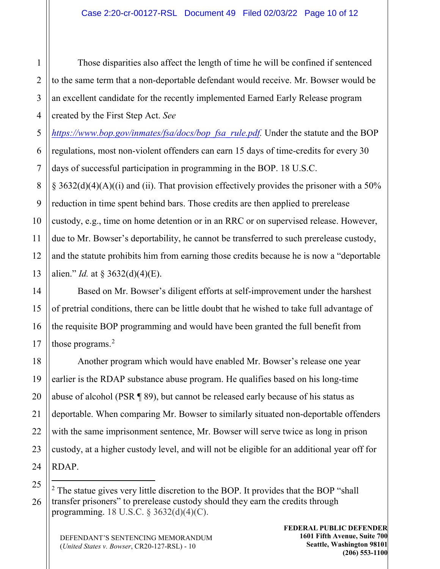Those disparities also affect the length of time he will be confined if sentenced to the same term that a non-deportable defendant would receive. Mr. Bowser would be an excellent candidate for the recently implemented Earned Early Release program created by the First Step Act. *See* 

*[https://www.bop.gov/inmates/fsa/docs/bop\\_fsa\\_rule.pdf.](https://www.bop.gov/inmates/fsa/docs/bop_fsa_rule.pdf)* Under the statute and the BOP regulations, most non-violent offenders can earn 15 days of time-credits for every 30 days of successful participation in programming in the BOP. 18 U.S.C.

 $\S$  3632(d)(4)(A)((i) and (ii). That provision effectively provides the prisoner with a 50% reduction in time spent behind bars. Those credits are then applied to prerelease custody, e.g., time on home detention or in an RRC or on supervised release. However, due to Mr. Bowser's deportability, he cannot be transferred to such prerelease custody, and the statute prohibits him from earning those credits because he is now a "deportable alien." *Id.* at § 3632(d)(4)(E).

Based on Mr. Bowser's diligent efforts at self-improvement under the harshest of pretrial conditions, there can be little doubt that he wished to take full advantage of the requisite BOP programming and would have been granted the full benefit from those programs.<sup>[2](#page-9-0)</sup>

Another program which would have enabled Mr. Bowser's release one year earlier is the RDAP substance abuse program. He qualifies based on his long-time abuse of alcohol (PSR ¶ 89), but cannot be released early because of his status as deportable. When comparing Mr. Bowser to similarly situated non-deportable offenders with the same imprisonment sentence, Mr. Bowser will serve twice as long in prison custody, at a higher custody level, and will not be eligible for an additional year off for RDAP.

<span id="page-9-0"></span> $2$  The statue gives very little discretion to the BOP. It provides that the BOP "shall" transfer prisoners" to prerelease custody should they earn the credits through programming. 18 U.S.C. § 3632(d)(4)(C).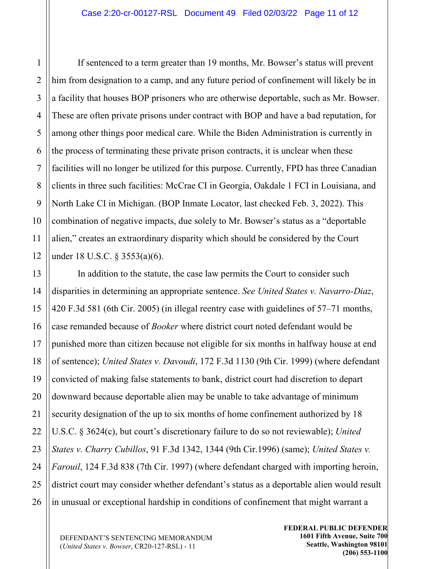If sentenced to a term greater than 19 months, Mr. Bowser's status will prevent him from designation to a camp, and any future period of confinement will likely be in a facility that houses BOP prisoners who are otherwise deportable, such as Mr. Bowser. These are often private prisons under contract with BOP and have a bad reputation, for among other things poor medical care. While the Biden Administration is currently in the process of terminating these private prison contracts, it is unclear when these facilities will no longer be utilized for this purpose. Currently, FPD has three Canadian clients in three such facilities: McCrae CI in Georgia, Oakdale 1 FCI in Louisiana, and North Lake CI in Michigan. (BOP Inmate Locator, last checked Feb. 3, 2022). This combination of negative impacts, due solely to Mr. Bowser's status as a "deportable alien," creates an extraordinary disparity which should be considered by the Court under 18 U.S.C. § 3553(a)(6).

In addition to the statute, the case law permits the Court to consider such disparities in determining an appropriate sentence. *See United States v. Navarro-Diaz*, 420 F.3d 581 (6th Cir. 2005) (in illegal reentry case with guidelines of 57–71 months, case remanded because of *Booker* where district court noted defendant would be punished more than citizen because not eligible for six months in halfway house at end of sentence); *United States v. Davoudi*, 172 F.3d 1130 (9th Cir. 1999) (where defendant convicted of making false statements to bank, district court had discretion to depart downward because deportable alien may be unable to take advantage of minimum security designation of the up to six months of home confinement authorized by 18 U.S.C. § 3624(c), but court's discretionary failure to do so not reviewable); *United States v. Charry Cubillos*, 91 F.3d 1342, 1344 (9th Cir.1996) (same); *United States v. Farouil*, 124 F.3d 838 (7th Cir. 1997) (where defendant charged with importing heroin, district court may consider whether defendant's status as a deportable alien would result in unusual or exceptional hardship in conditions of confinement that might warrant a